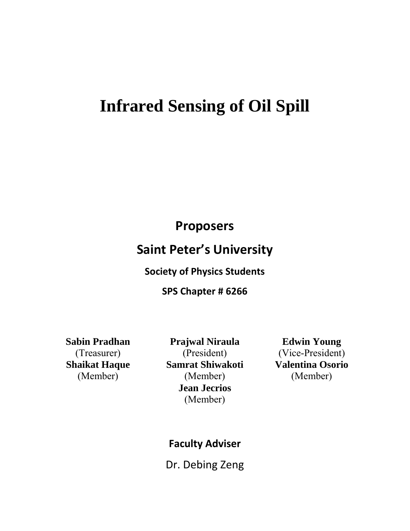# **Infrared Sensing of Oil Spill**

**Proposers** 

# **Saint Peter's University**

## **Society of Physics Students**

## **SPS Chapter # 6266**

**Sabin Pradhan** (Treasurer) **Shaikat Haque** (Member)

**Prajwal Niraula**  (President) **Samrat Shiwakoti** (Member) **Jean Jecrios** (Member)

**Edwin Young** (Vice-President) **Valentina Osorio** (Member)

# **Faculty Adviser**

Dr. Debing Zeng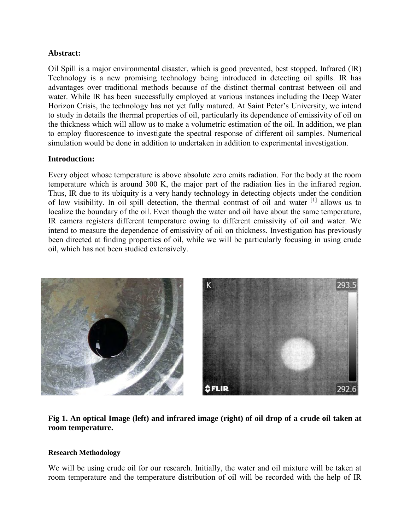#### **Abstract:**

Oil Spill is a major environmental disaster, which is good prevented, best stopped. Infrared (IR) Technology is a new promising technology being introduced in detecting oil spills. IR has advantages over traditional methods because of the distinct thermal contrast between oil and water. While IR has been successfully employed at various instances including the Deep Water Horizon Crisis, the technology has not yet fully matured. At Saint Peter's University, we intend to study in details the thermal properties of oil, particularly its dependence of emissivity of oil on the thickness which will allow us to make a volumetric estimation of the oil. In addition, we plan to employ fluorescence to investigate the spectral response of different oil samples. Numerical simulation would be done in addition to undertaken in addition to experimental investigation.

#### **Introduction:**

Every object whose temperature is above absolute zero emits radiation. For the body at the room temperature which is around 300 K, the major part of the radiation lies in the infrared region. Thus, IR due to its ubiquity is a very handy technology in detecting objects under the condition of low visibility. In oil spill detection, the thermal contrast of oil and water  $\begin{bmatrix} 1 \end{bmatrix}$  allows us to localize the boundary of the oil. Even though the water and oil have about the same temperature, IR camera registers different temperature owing to different emissivity of oil and water. We intend to measure the dependence of emissivity of oil on thickness. Investigation has previously been directed at finding properties of oil, while we will be particularly focusing in using crude oil, which has not been studied extensively.



#### **Fig 1. An optical Image (left) and infrared image (right) of oil drop of a crude oil taken at room temperature.**

#### **Research Methodology**

We will be using crude oil for our research. Initially, the water and oil mixture will be taken at room temperature and the temperature distribution of oil will be recorded with the help of IR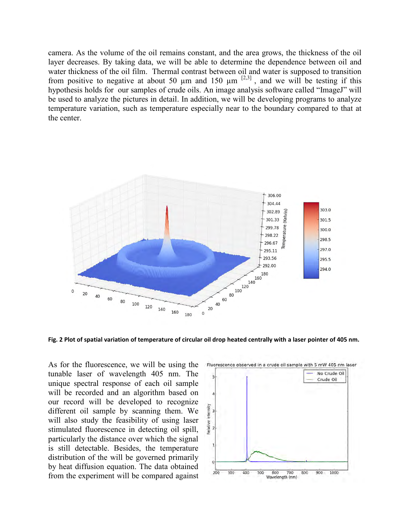camera. As the volume of the oil remains constant, and the area grows, the thickness of the oil layer decreases. By taking data, we will be able to determine the dependence between oil and water thickness of the oil film. Thermal contrast between oil and water is supposed to transition from positive to negative at about 50  $\mu$ m and 150  $\mu$ m  $^{[2,3]}$ , and we will be testing if this hypothesis holds for our samples of crude oils. An image analysis software called "ImageJ" will be used to analyze the pictures in detail. In addition, we will be developing programs to analyze temperature variation, such as temperature especially near to the boundary compared to that at the center.



**Fig. 2 Plot of spatial variation of temperature of circular oil drop heated centrally with a laser pointer of 405 nm.** 

As for the fluorescence, we will be using the tunable laser of wavelength 405 nm. The unique spectral response of each oil sample will be recorded and an algorithm based on our record will be developed to recognize different oil sample by scanning them. We will also study the feasibility of using laser stimulated fluorescence in detecting oil spill, particularly the distance over which the signal is still detectable. Besides, the temperature distribution of the will be governed primarily by heat diffusion equation. The data obtained from the experiment will be compared against